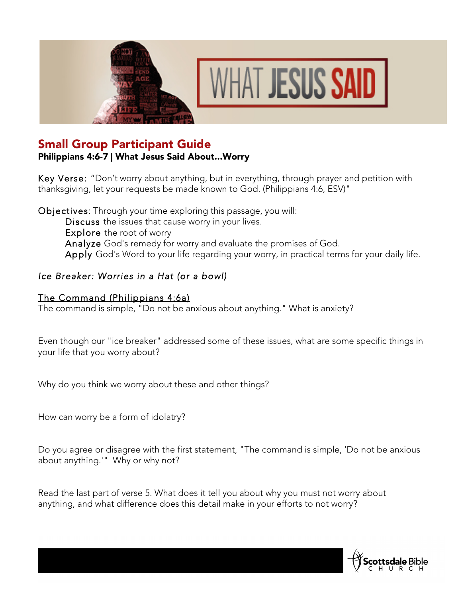



# Small Group Participant Guide

### Philippians 4:6-7 | What Jesus Said About...Worry

Key Verse: "Don't worry about anything, but in everything, through prayer and petition with thanksgiving, let your requests be made known to God. (Philippians 4:6, ESV)"

Objectives: Through your time exploring this passage, you will: Discuss the issues that cause worry in your lives. Explore the root of worry Analyze God's remedy for worry and evaluate the promises of God. Apply God's Word to your life regarding your worry, in practical terms for your daily life.

### *Ice Breaker: Worries in a Hat (or a bowl)*

#### The Command (Philippians 4:6a)

The command is simple, "Do not be anxious about anything." What is anxiety?

Even though our "ice breaker" addressed some of these issues, what are some specific things in your life that you worry about?

Why do you think we worry about these and other things?

How can worry be a form of idolatry?

Do you agree or disagree with the first statement, "The command is simple, 'Do not be anxious about anything.'" Why or why not?

Read the last part of verse 5. What does it tell you about why you must not worry about anything, and what difference does this detail make in your efforts to not worry?